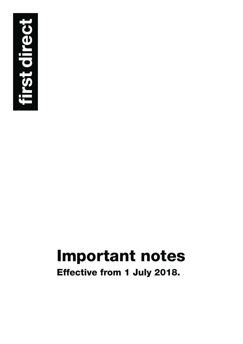

# **Important notes**

**Effective from 1 July 2018.**